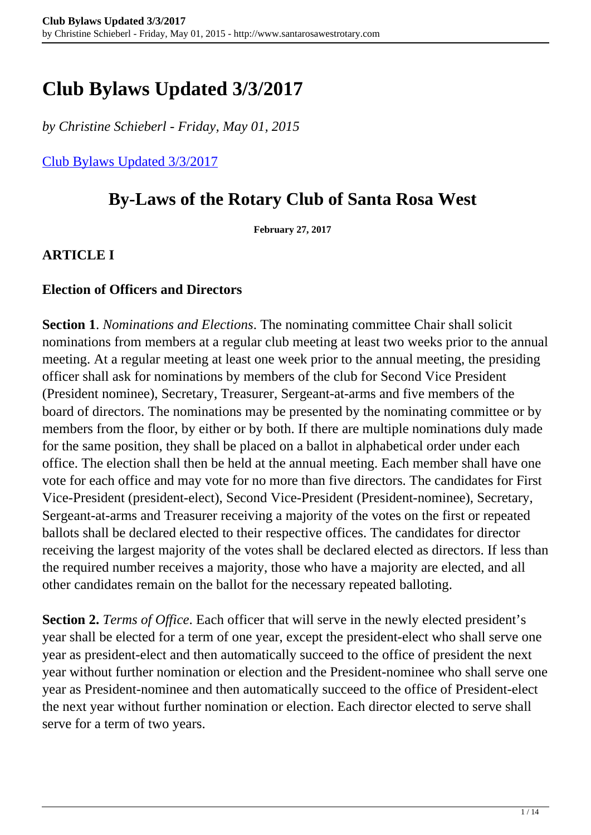# **Club Bylaws Updated 3/3/2017**

*by Christine Schieberl - Friday, May 01, 2015*

[Club Bylaws Updated 3/3/2017](http://www.santarosawestrotary.com/member-resources/club-bylaws/)

## **By-Laws of the Rotary Club of Santa Rosa West**

**February 27, 2017**

**ARTICLE I**

#### **Election of Officers and Directors**

**Section 1**. *Nominations and Elections*. The nominating committee Chair shall solicit nominations from members at a regular club meeting at least two weeks prior to the annual meeting. At a regular meeting at least one week prior to the annual meeting, the presiding officer shall ask for nominations by members of the club for Second Vice President (President nominee), Secretary, Treasurer, Sergeant-at-arms and five members of the board of directors. The nominations may be presented by the nominating committee or by members from the floor, by either or by both. If there are multiple nominations duly made for the same position, they shall be placed on a ballot in alphabetical order under each office. The election shall then be held at the annual meeting. Each member shall have one vote for each office and may vote for no more than five directors. The candidates for First Vice-President (president-elect), Second Vice-President (President-nominee), Secretary, Sergeant-at-arms and Treasurer receiving a majority of the votes on the first or repeated ballots shall be declared elected to their respective offices. The candidates for director receiving the largest majority of the votes shall be declared elected as directors. If less than the required number receives a majority, those who have a majority are elected, and all other candidates remain on the ballot for the necessary repeated balloting.

**Section 2.** *Terms of Office*. Each officer that will serve in the newly elected president's year shall be elected for a term of one year, except the president-elect who shall serve one year as president-elect and then automatically succeed to the office of president the next year without further nomination or election and the President-nominee who shall serve one year as President-nominee and then automatically succeed to the office of President-elect the next year without further nomination or election. Each director elected to serve shall serve for a term of two years.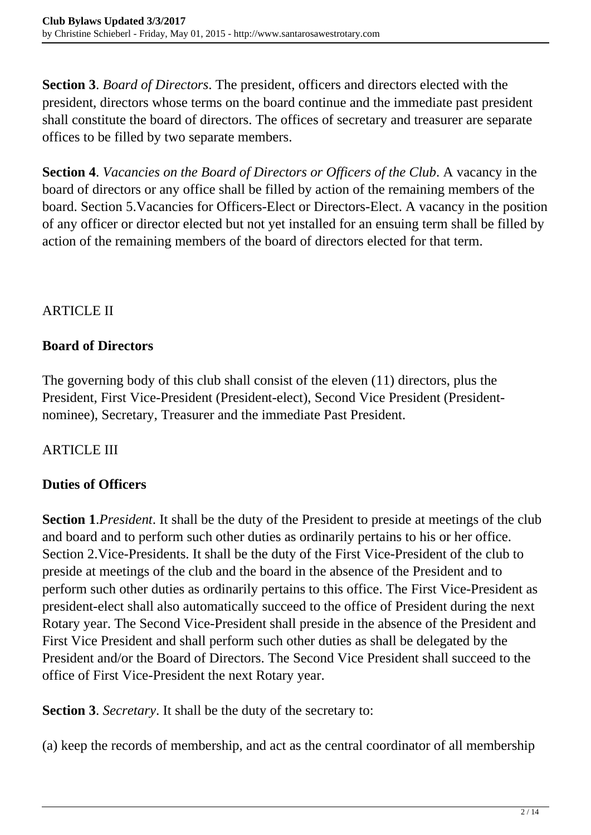**Section 3**. *Board of Directors*. The president, officers and directors elected with the president, directors whose terms on the board continue and the immediate past president shall constitute the board of directors. The offices of secretary and treasurer are separate offices to be filled by two separate members.

**Section 4**. *Vacancies on the Board of Directors or Officers of the Club*. A vacancy in the board of directors or any office shall be filled by action of the remaining members of the board. Section 5.Vacancies for Officers-Elect or Directors-Elect. A vacancy in the position of any officer or director elected but not yet installed for an ensuing term shall be filled by action of the remaining members of the board of directors elected for that term.

## **ARTICLE II**

## **Board of Directors**

The governing body of this club shall consist of the eleven (11) directors, plus the President, First Vice-President (President-elect), Second Vice President (Presidentnominee), Secretary, Treasurer and the immediate Past President.

## ARTICLE III

## **Duties of Officers**

**Section 1**.*President*. It shall be the duty of the President to preside at meetings of the club and board and to perform such other duties as ordinarily pertains to his or her office. Section 2.Vice-Presidents. It shall be the duty of the First Vice-President of the club to preside at meetings of the club and the board in the absence of the President and to perform such other duties as ordinarily pertains to this office. The First Vice-President as president-elect shall also automatically succeed to the office of President during the next Rotary year. The Second Vice-President shall preside in the absence of the President and First Vice President and shall perform such other duties as shall be delegated by the President and/or the Board of Directors. The Second Vice President shall succeed to the office of First Vice-President the next Rotary year.

**Section 3**. *Secretary*. It shall be the duty of the secretary to:

(a) keep the records of membership, and act as the central coordinator of all membership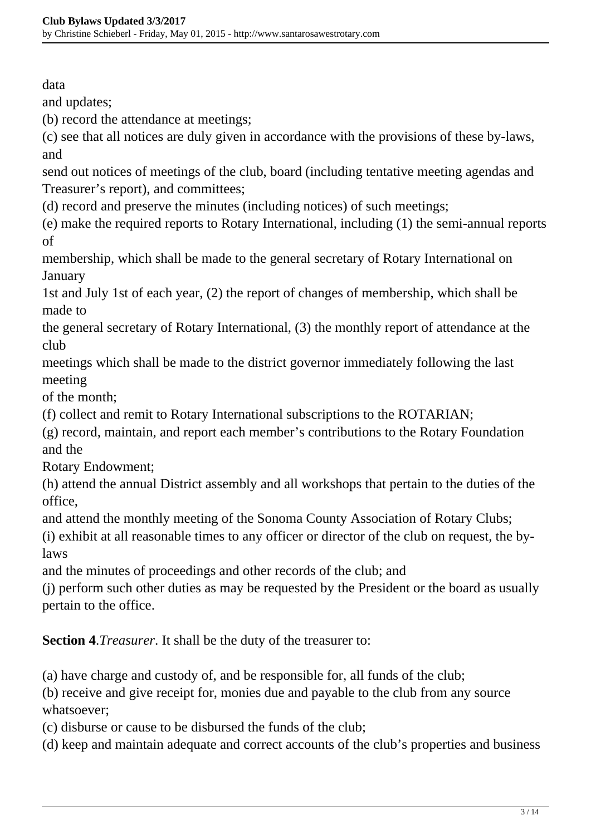data

and updates;

(b) record the attendance at meetings;

(c) see that all notices are duly given in accordance with the provisions of these by-laws, and

send out notices of meetings of the club, board (including tentative meeting agendas and Treasurer's report), and committees;

(d) record and preserve the minutes (including notices) of such meetings;

(e) make the required reports to Rotary International, including (1) the semi-annual reports of

membership, which shall be made to the general secretary of Rotary International on **January** 

1st and July 1st of each year, (2) the report of changes of membership, which shall be made to

the general secretary of Rotary International, (3) the monthly report of attendance at the club

meetings which shall be made to the district governor immediately following the last meeting

of the month;

(f) collect and remit to Rotary International subscriptions to the ROTARIAN;

(g) record, maintain, and report each member's contributions to the Rotary Foundation and the

Rotary Endowment;

(h) attend the annual District assembly and all workshops that pertain to the duties of the office,

and attend the monthly meeting of the Sonoma County Association of Rotary Clubs;

(i) exhibit at all reasonable times to any officer or director of the club on request, the bylaws

and the minutes of proceedings and other records of the club; and

(j) perform such other duties as may be requested by the President or the board as usually pertain to the office.

**Section 4**.*Treasurer*. It shall be the duty of the treasurer to:

(a) have charge and custody of, and be responsible for, all funds of the club;

(b) receive and give receipt for, monies due and payable to the club from any source whatsoever;

(c) disburse or cause to be disbursed the funds of the club;

(d) keep and maintain adequate and correct accounts of the club's properties and business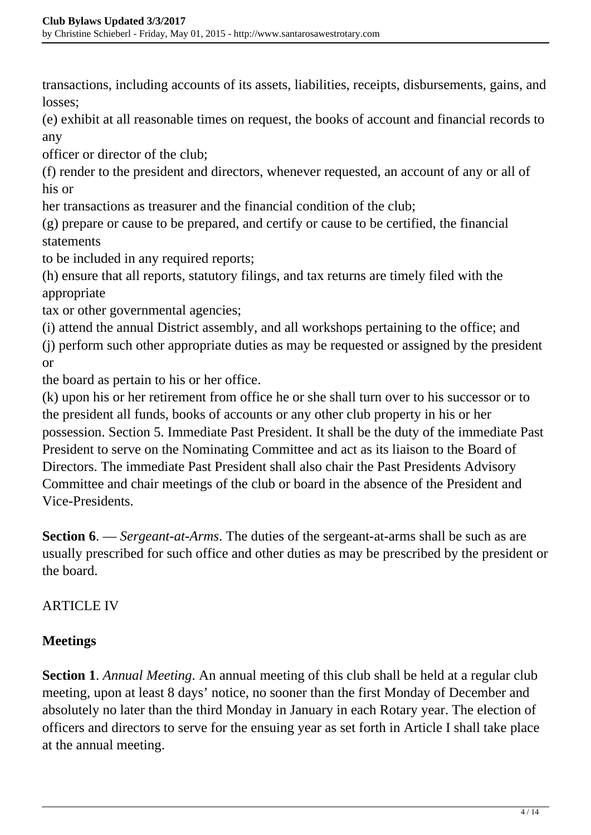transactions, including accounts of its assets, liabilities, receipts, disbursements, gains, and losses;

(e) exhibit at all reasonable times on request, the books of account and financial records to any

officer or director of the club;

(f) render to the president and directors, whenever requested, an account of any or all of his or

her transactions as treasurer and the financial condition of the club;

(g) prepare or cause to be prepared, and certify or cause to be certified, the financial statements

to be included in any required reports;

(h) ensure that all reports, statutory filings, and tax returns are timely filed with the appropriate

tax or other governmental agencies;

(i) attend the annual District assembly, and all workshops pertaining to the office; and

(j) perform such other appropriate duties as may be requested or assigned by the president or

the board as pertain to his or her office.

(k) upon his or her retirement from office he or she shall turn over to his successor or to the president all funds, books of accounts or any other club property in his or her possession. Section 5. Immediate Past President. It shall be the duty of the immediate Past President to serve on the Nominating Committee and act as its liaison to the Board of Directors. The immediate Past President shall also chair the Past Presidents Advisory Committee and chair meetings of the club or board in the absence of the President and Vice-Presidents.

**Section 6**. — *Sergeant-at-Arms*. The duties of the sergeant-at-arms shall be such as are usually prescribed for such office and other duties as may be prescribed by the president or the board.

#### ARTICLE IV

## **Meetings**

**Section 1**. *Annual Meeting*. An annual meeting of this club shall be held at a regular club meeting, upon at least 8 days' notice, no sooner than the first Monday of December and absolutely no later than the third Monday in January in each Rotary year. The election of officers and directors to serve for the ensuing year as set forth in Article I shall take place at the annual meeting.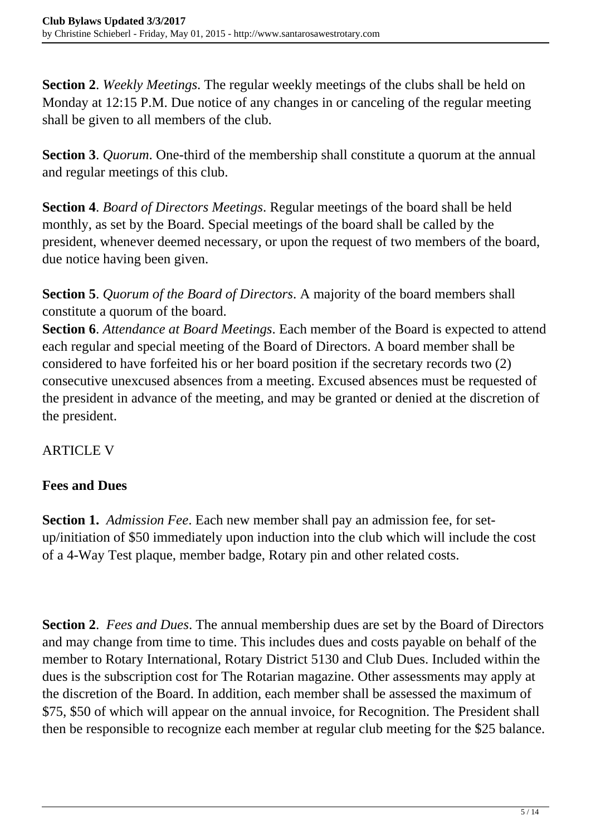**Section 2**. *Weekly Meetings*. The regular weekly meetings of the clubs shall be held on Monday at 12:15 P.M. Due notice of any changes in or canceling of the regular meeting shall be given to all members of the club.

**Section 3**. *Quorum*. One-third of the membership shall constitute a quorum at the annual and regular meetings of this club.

**Section 4**. *Board of Directors Meetings*. Regular meetings of the board shall be held monthly, as set by the Board. Special meetings of the board shall be called by the president, whenever deemed necessary, or upon the request of two members of the board, due notice having been given.

**Section 5**. *Quorum of the Board of Directors*. A majority of the board members shall constitute a quorum of the board.

**Section 6**. *Attendance at Board Meetings*. Each member of the Board is expected to attend each regular and special meeting of the Board of Directors. A board member shall be considered to have forfeited his or her board position if the secretary records two (2) consecutive unexcused absences from a meeting. Excused absences must be requested of the president in advance of the meeting, and may be granted or denied at the discretion of the president.

ARTICLE V

## **Fees and Dues**

**Section 1.** *Admission Fee*. Each new member shall pay an admission fee, for setup/initiation of \$50 immediately upon induction into the club which will include the cost of a 4-Way Test plaque, member badge, Rotary pin and other related costs.

**Section 2**. *Fees and Dues*. The annual membership dues are set by the Board of Directors and may change from time to time. This includes dues and costs payable on behalf of the member to Rotary International, Rotary District 5130 and Club Dues. Included within the dues is the subscription cost for The Rotarian magazine. Other assessments may apply at the discretion of the Board. In addition, each member shall be assessed the maximum of \$75, \$50 of which will appear on the annual invoice, for Recognition. The President shall then be responsible to recognize each member at regular club meeting for the \$25 balance.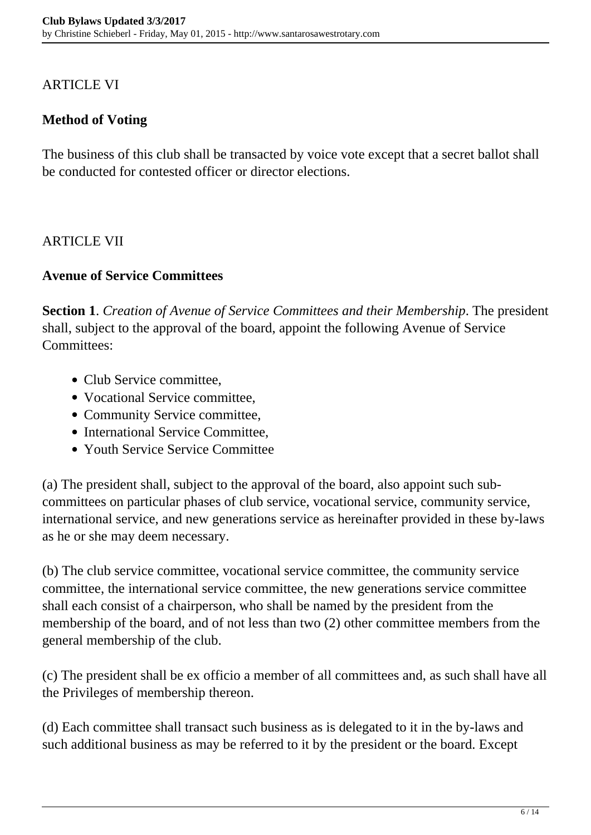#### ARTICLE VI

### **Method of Voting**

The business of this club shall be transacted by voice vote except that a secret ballot shall be conducted for contested officer or director elections.

#### ARTICLE VII

#### **Avenue of Service Committees**

**Section 1**. *Creation of Avenue of Service Committees and their Membership*. The president shall, subject to the approval of the board, appoint the following Avenue of Service Committees:

- Club Service committee,
- Vocational Service committee.
- Community Service committee,
- International Service Committee,
- Youth Service Service Committee

(a) The president shall, subject to the approval of the board, also appoint such subcommittees on particular phases of club service, vocational service, community service, international service, and new generations service as hereinafter provided in these by-laws as he or she may deem necessary.

(b) The club service committee, vocational service committee, the community service committee, the international service committee, the new generations service committee shall each consist of a chairperson, who shall be named by the president from the membership of the board, and of not less than two (2) other committee members from the general membership of the club.

(c) The president shall be ex officio a member of all committees and, as such shall have all the Privileges of membership thereon.

(d) Each committee shall transact such business as is delegated to it in the by-laws and such additional business as may be referred to it by the president or the board. Except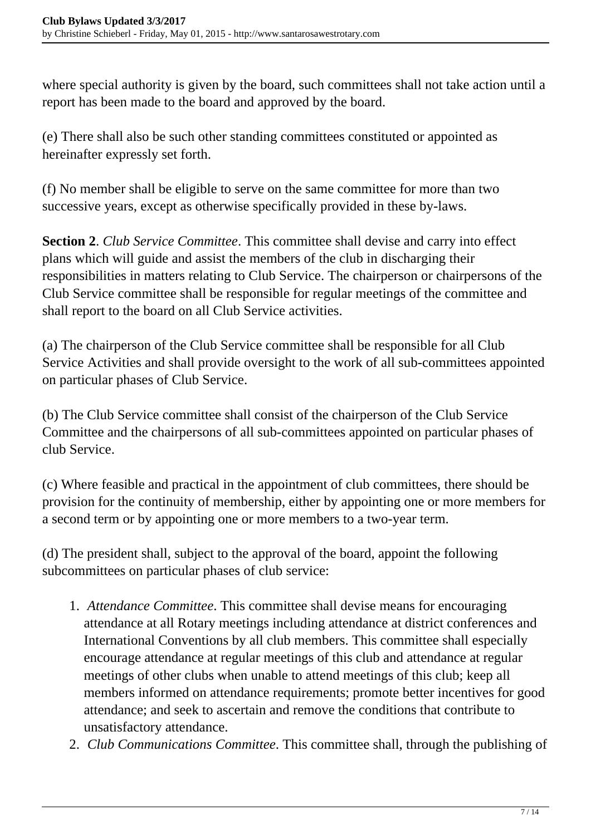where special authority is given by the board, such committees shall not take action until a report has been made to the board and approved by the board.

(e) There shall also be such other standing committees constituted or appointed as hereinafter expressly set forth.

(f) No member shall be eligible to serve on the same committee for more than two successive years, except as otherwise specifically provided in these by-laws.

**Section 2**. *Club Service Committee*. This committee shall devise and carry into effect plans which will guide and assist the members of the club in discharging their responsibilities in matters relating to Club Service. The chairperson or chairpersons of the Club Service committee shall be responsible for regular meetings of the committee and shall report to the board on all Club Service activities.

(a) The chairperson of the Club Service committee shall be responsible for all Club Service Activities and shall provide oversight to the work of all sub-committees appointed on particular phases of Club Service.

(b) The Club Service committee shall consist of the chairperson of the Club Service Committee and the chairpersons of all sub-committees appointed on particular phases of club Service.

(c) Where feasible and practical in the appointment of club committees, there should be provision for the continuity of membership, either by appointing one or more members for a second term or by appointing one or more members to a two-year term.

(d) The president shall, subject to the approval of the board, appoint the following subcommittees on particular phases of club service:

- 1. *Attendance Committee*. This committee shall devise means for encouraging attendance at all Rotary meetings including attendance at district conferences and International Conventions by all club members. This committee shall especially encourage attendance at regular meetings of this club and attendance at regular meetings of other clubs when unable to attend meetings of this club; keep all members informed on attendance requirements; promote better incentives for good attendance; and seek to ascertain and remove the conditions that contribute to unsatisfactory attendance.
- 2. *Club Communications Committee*. This committee shall, through the publishing of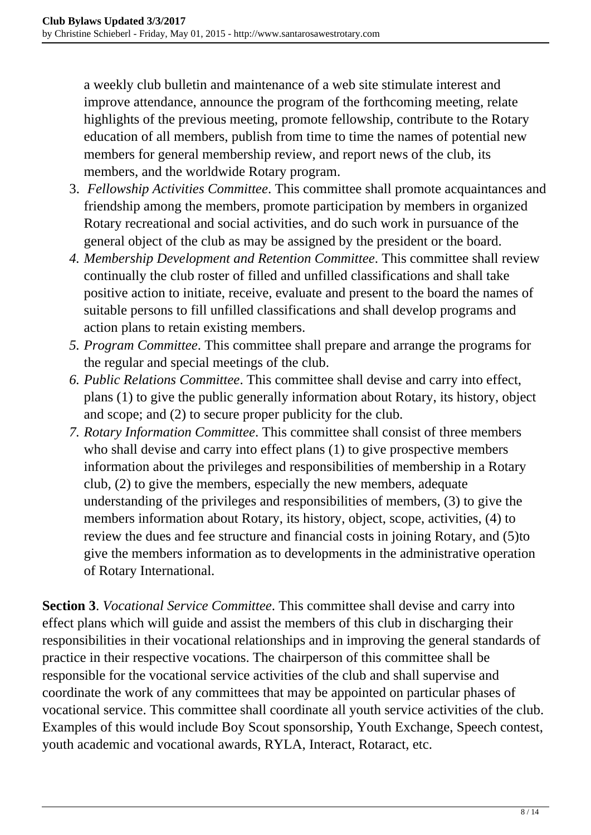a weekly club bulletin and maintenance of a web site stimulate interest and improve attendance, announce the program of the forthcoming meeting, relate highlights of the previous meeting, promote fellowship, contribute to the Rotary education of all members, publish from time to time the names of potential new members for general membership review, and report news of the club, its members, and the worldwide Rotary program.

- 3. *Fellowship Activities Committee*. This committee shall promote acquaintances and friendship among the members, promote participation by members in organized Rotary recreational and social activities, and do such work in pursuance of the general object of the club as may be assigned by the president or the board.
- *4. Membership Development and Retention Committee*. This committee shall review continually the club roster of filled and unfilled classifications and shall take positive action to initiate, receive, evaluate and present to the board the names of suitable persons to fill unfilled classifications and shall develop programs and action plans to retain existing members.
- *5. Program Committee*. This committee shall prepare and arrange the programs for the regular and special meetings of the club.
- *6. Public Relations Committee*. This committee shall devise and carry into effect, plans (1) to give the public generally information about Rotary, its history, object and scope; and (2) to secure proper publicity for the club.
- *7. Rotary Information Committee*. This committee shall consist of three members who shall devise and carry into effect plans (1) to give prospective members information about the privileges and responsibilities of membership in a Rotary club, (2) to give the members, especially the new members, adequate understanding of the privileges and responsibilities of members, (3) to give the members information about Rotary, its history, object, scope, activities, (4) to review the dues and fee structure and financial costs in joining Rotary, and (5)to give the members information as to developments in the administrative operation of Rotary International.

**Section 3**. *Vocational Service Committee*. This committee shall devise and carry into effect plans which will guide and assist the members of this club in discharging their responsibilities in their vocational relationships and in improving the general standards of practice in their respective vocations. The chairperson of this committee shall be responsible for the vocational service activities of the club and shall supervise and coordinate the work of any committees that may be appointed on particular phases of vocational service. This committee shall coordinate all youth service activities of the club. Examples of this would include Boy Scout sponsorship, Youth Exchange, Speech contest, youth academic and vocational awards, RYLA, Interact, Rotaract, etc.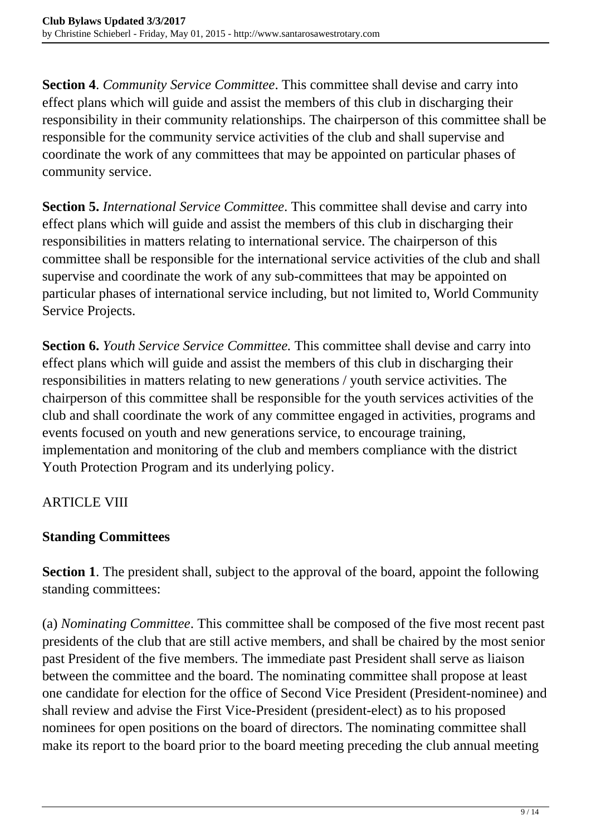**Section 4**. *Community Service Committee*. This committee shall devise and carry into effect plans which will guide and assist the members of this club in discharging their responsibility in their community relationships. The chairperson of this committee shall be responsible for the community service activities of the club and shall supervise and coordinate the work of any committees that may be appointed on particular phases of community service.

**Section 5.** *International Service Committee*. This committee shall devise and carry into effect plans which will guide and assist the members of this club in discharging their responsibilities in matters relating to international service. The chairperson of this committee shall be responsible for the international service activities of the club and shall supervise and coordinate the work of any sub-committees that may be appointed on particular phases of international service including, but not limited to, World Community Service Projects.

**Section 6.** *Youth Service Service Committee.* This committee shall devise and carry into effect plans which will guide and assist the members of this club in discharging their responsibilities in matters relating to new generations / youth service activities. The chairperson of this committee shall be responsible for the youth services activities of the club and shall coordinate the work of any committee engaged in activities, programs and events focused on youth and new generations service, to encourage training, implementation and monitoring of the club and members compliance with the district Youth Protection Program and its underlying policy.

## **ARTICLE VIII**

## **Standing Committees**

**Section 1**. The president shall, subject to the approval of the board, appoint the following standing committees:

(a) *Nominating Committee*. This committee shall be composed of the five most recent past presidents of the club that are still active members, and shall be chaired by the most senior past President of the five members. The immediate past President shall serve as liaison between the committee and the board. The nominating committee shall propose at least one candidate for election for the office of Second Vice President (President-nominee) and shall review and advise the First Vice-President (president-elect) as to his proposed nominees for open positions on the board of directors. The nominating committee shall make its report to the board prior to the board meeting preceding the club annual meeting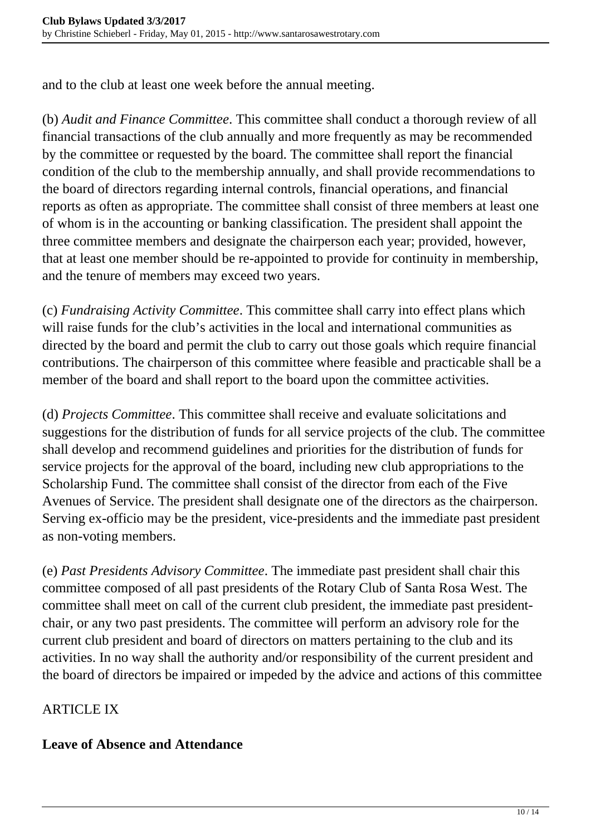and to the club at least one week before the annual meeting.

(b) *Audit and Finance Committee*. This committee shall conduct a thorough review of all financial transactions of the club annually and more frequently as may be recommended by the committee or requested by the board. The committee shall report the financial condition of the club to the membership annually, and shall provide recommendations to the board of directors regarding internal controls, financial operations, and financial reports as often as appropriate. The committee shall consist of three members at least one of whom is in the accounting or banking classification. The president shall appoint the three committee members and designate the chairperson each year; provided, however, that at least one member should be re-appointed to provide for continuity in membership, and the tenure of members may exceed two years.

(c) *Fundraising Activity Committee*. This committee shall carry into effect plans which will raise funds for the club's activities in the local and international communities as directed by the board and permit the club to carry out those goals which require financial contributions. The chairperson of this committee where feasible and practicable shall be a member of the board and shall report to the board upon the committee activities.

(d) *Projects Committee*. This committee shall receive and evaluate solicitations and suggestions for the distribution of funds for all service projects of the club. The committee shall develop and recommend guidelines and priorities for the distribution of funds for service projects for the approval of the board, including new club appropriations to the Scholarship Fund. The committee shall consist of the director from each of the Five Avenues of Service. The president shall designate one of the directors as the chairperson. Serving ex-officio may be the president, vice-presidents and the immediate past president as non-voting members.

(e) *Past Presidents Advisory Committee*. The immediate past president shall chair this committee composed of all past presidents of the Rotary Club of Santa Rosa West. The committee shall meet on call of the current club president, the immediate past presidentchair, or any two past presidents. The committee will perform an advisory role for the current club president and board of directors on matters pertaining to the club and its activities. In no way shall the authority and/or responsibility of the current president and the board of directors be impaired or impeded by the advice and actions of this committee

## ARTICLE IX

#### **Leave of Absence and Attendance**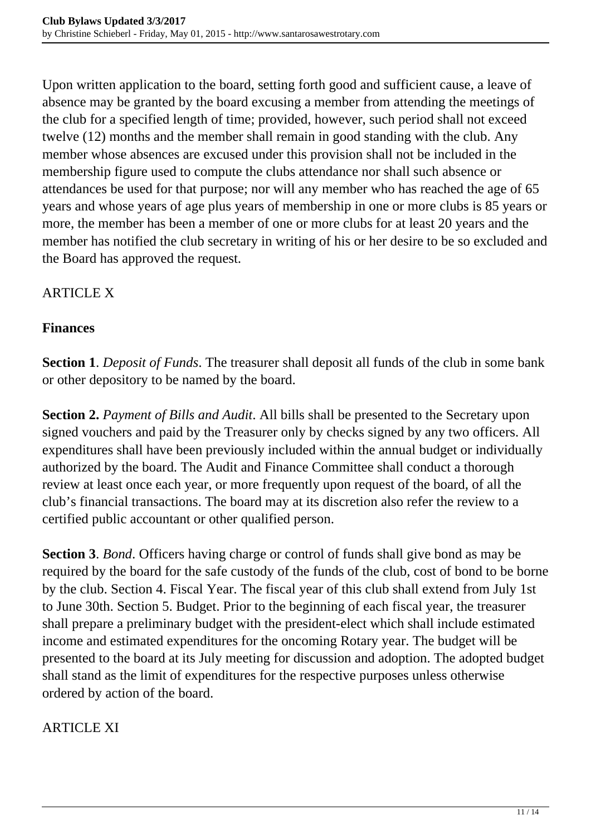Upon written application to the board, setting forth good and sufficient cause, a leave of absence may be granted by the board excusing a member from attending the meetings of the club for a specified length of time; provided, however, such period shall not exceed twelve (12) months and the member shall remain in good standing with the club. Any member whose absences are excused under this provision shall not be included in the membership figure used to compute the clubs attendance nor shall such absence or attendances be used for that purpose; nor will any member who has reached the age of 65 years and whose years of age plus years of membership in one or more clubs is 85 years or more, the member has been a member of one or more clubs for at least 20 years and the member has notified the club secretary in writing of his or her desire to be so excluded and the Board has approved the request.

#### ARTICLE X

#### **Finances**

**Section 1**. *Deposit of Funds*. The treasurer shall deposit all funds of the club in some bank or other depository to be named by the board.

**Section 2.** *Payment of Bills and Audit*. All bills shall be presented to the Secretary upon signed vouchers and paid by the Treasurer only by checks signed by any two officers. All expenditures shall have been previously included within the annual budget or individually authorized by the board. The Audit and Finance Committee shall conduct a thorough review at least once each year, or more frequently upon request of the board, of all the club's financial transactions. The board may at its discretion also refer the review to a certified public accountant or other qualified person.

**Section 3**. *Bond*. Officers having charge or control of funds shall give bond as may be required by the board for the safe custody of the funds of the club, cost of bond to be borne by the club. Section 4. Fiscal Year. The fiscal year of this club shall extend from July 1st to June 30th. Section 5. Budget. Prior to the beginning of each fiscal year, the treasurer shall prepare a preliminary budget with the president-elect which shall include estimated income and estimated expenditures for the oncoming Rotary year. The budget will be presented to the board at its July meeting for discussion and adoption. The adopted budget shall stand as the limit of expenditures for the respective purposes unless otherwise ordered by action of the board.

## ARTICLE XI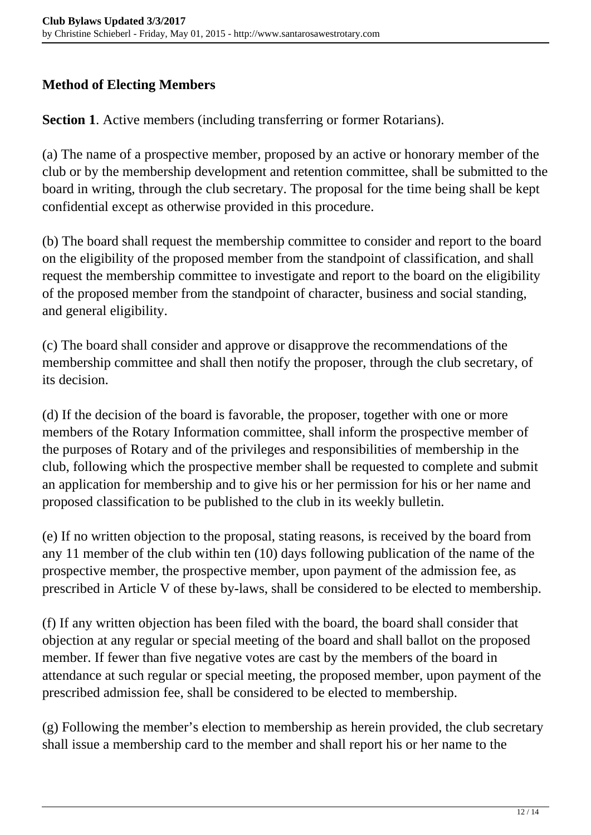#### **Method of Electing Members**

**Section 1**. Active members (including transferring or former Rotarians).

(a) The name of a prospective member, proposed by an active or honorary member of the club or by the membership development and retention committee, shall be submitted to the board in writing, through the club secretary. The proposal for the time being shall be kept confidential except as otherwise provided in this procedure.

(b) The board shall request the membership committee to consider and report to the board on the eligibility of the proposed member from the standpoint of classification, and shall request the membership committee to investigate and report to the board on the eligibility of the proposed member from the standpoint of character, business and social standing, and general eligibility.

(c) The board shall consider and approve or disapprove the recommendations of the membership committee and shall then notify the proposer, through the club secretary, of its decision.

(d) If the decision of the board is favorable, the proposer, together with one or more members of the Rotary Information committee, shall inform the prospective member of the purposes of Rotary and of the privileges and responsibilities of membership in the club, following which the prospective member shall be requested to complete and submit an application for membership and to give his or her permission for his or her name and proposed classification to be published to the club in its weekly bulletin.

(e) If no written objection to the proposal, stating reasons, is received by the board from any 11 member of the club within ten (10) days following publication of the name of the prospective member, the prospective member, upon payment of the admission fee, as prescribed in Article V of these by-laws, shall be considered to be elected to membership.

(f) If any written objection has been filed with the board, the board shall consider that objection at any regular or special meeting of the board and shall ballot on the proposed member. If fewer than five negative votes are cast by the members of the board in attendance at such regular or special meeting, the proposed member, upon payment of the prescribed admission fee, shall be considered to be elected to membership.

(g) Following the member's election to membership as herein provided, the club secretary shall issue a membership card to the member and shall report his or her name to the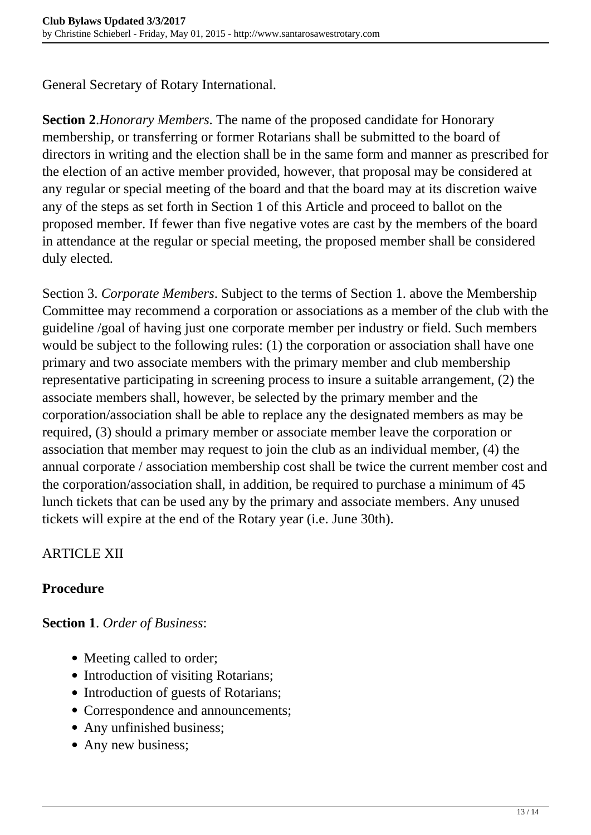General Secretary of Rotary International.

**Section 2**.*Honorary Members*. The name of the proposed candidate for Honorary membership, or transferring or former Rotarians shall be submitted to the board of directors in writing and the election shall be in the same form and manner as prescribed for the election of an active member provided, however, that proposal may be considered at any regular or special meeting of the board and that the board may at its discretion waive any of the steps as set forth in Section 1 of this Article and proceed to ballot on the proposed member. If fewer than five negative votes are cast by the members of the board in attendance at the regular or special meeting, the proposed member shall be considered duly elected.

Section 3. *Corporate Members*. Subject to the terms of Section 1. above the Membership Committee may recommend a corporation or associations as a member of the club with the guideline /goal of having just one corporate member per industry or field. Such members would be subject to the following rules: (1) the corporation or association shall have one primary and two associate members with the primary member and club membership representative participating in screening process to insure a suitable arrangement, (2) the associate members shall, however, be selected by the primary member and the corporation/association shall be able to replace any the designated members as may be required, (3) should a primary member or associate member leave the corporation or association that member may request to join the club as an individual member, (4) the annual corporate / association membership cost shall be twice the current member cost and the corporation/association shall, in addition, be required to purchase a minimum of 45 lunch tickets that can be used any by the primary and associate members. Any unused tickets will expire at the end of the Rotary year (i.e. June 30th).

## ARTICLE XII

#### **Procedure**

#### **Section 1**. *Order of Business*:

- Meeting called to order;
- Introduction of visiting Rotarians;
- Introduction of guests of Rotarians;
- Correspondence and announcements;
- Any unfinished business;
- Any new business;